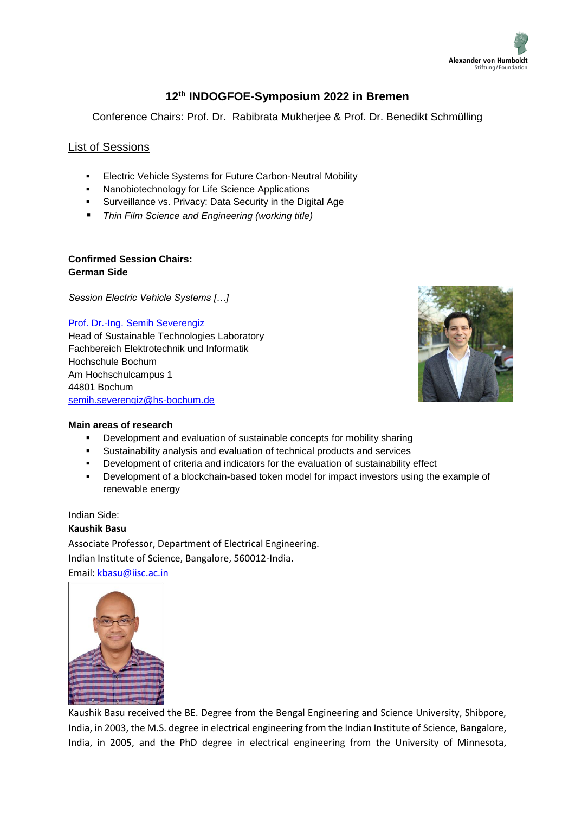

# **12th INDOGFOE-Symposium 2022 in Bremen**

Conference Chairs: Prof. Dr. Rabibrata Mukherjee & Prof. Dr. Benedikt Schmülling

# List of Sessions

- **Electric Vehicle Systems for Future Carbon-Neutral Mobility**
- **Nanobiotechnology for Life Science Applications**
- **Surveillance vs. Privacy: Data Security in the Digital Age**
- *Thin Film Science and Engineering (working title)*

# **Confirmed Session Chairs: German Side**

*Session Electric Vehicle Systems […]*

## [Prof. Dr.-Ing. Semih Severengiz](https://www.hochschule-bochum.de/en/departments/department-of-electrical-engineering-and-computer-science/fachgebiete/laboratory-for-sustainability-in-technology/)

Head of Sustainable Technologies Laboratory Fachbereich Elektrotechnik und Informatik Hochschule Bochum Am Hochschulcampus 1 44801 Bochum [semih.severengiz@hs-bochum.de](mailto:semih.severengiz@hs-bochum.de)



#### **Main areas of research**

- Development and evaluation of sustainable concepts for mobility sharing
- Sustainability analysis and evaluation of technical products and services
- Development of criteria and indicators for the evaluation of sustainability effect
- Development of a blockchain-based token model for impact investors using the example of renewable energy

Indian Side:

# **Kaushik Basu** Associate Professor, Department of Electrical Engineering.

Indian Institute of Science, Bangalore, 560012-India.

Email: [kbasu@iisc.ac.in](mailto:kbasu@iisc.ac.in)



Kaushik Basu received the BE. Degree from the Bengal Engineering and Science University, Shibpore, India, in 2003, the M.S. degree in electrical engineering from the Indian Institute of Science, Bangalore, India, in 2005, and the PhD degree in electrical engineering from the University of Minnesota,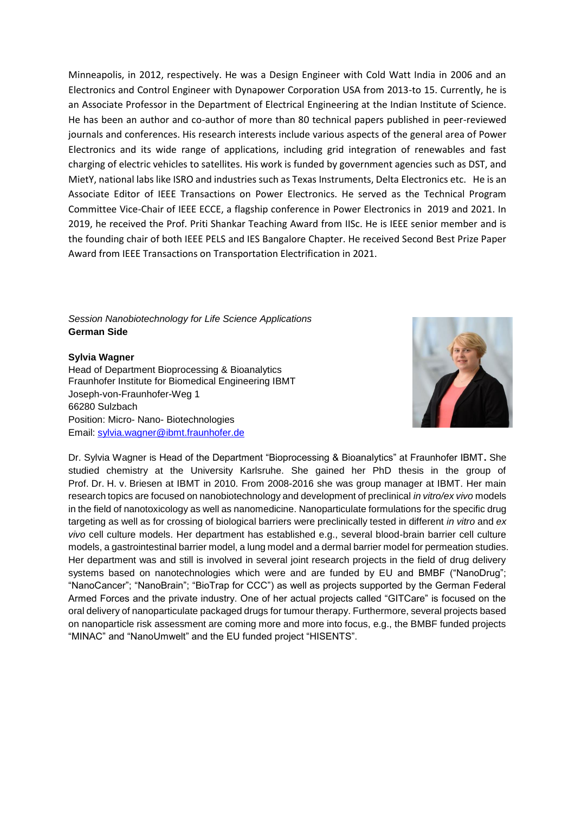Minneapolis, in 2012, respectively. He was a Design Engineer with Cold Watt India in 2006 and an Electronics and Control Engineer with Dynapower Corporation USA from 2013-to 15. Currently, he is an Associate Professor in the Department of Electrical Engineering at the Indian Institute of Science. He has been an author and co-author of more than 80 technical papers published in peer-reviewed journals and conferences. His research interests include various aspects of the general area of Power Electronics and its wide range of applications, including grid integration of renewables and fast charging of electric vehicles to satellites. His work is funded by government agencies such as DST, and MietY, national labs like ISRO and industries such as Texas Instruments, Delta Electronics etc. He is an Associate Editor of IEEE Transactions on Power Electronics. He served as the Technical Program Committee Vice-Chair of IEEE ECCE, a flagship conference in Power Electronics in 2019 and 2021. In 2019, he received the Prof. Priti Shankar Teaching Award from IISc. He is IEEE senior member and is the founding chair of both IEEE PELS and IES Bangalore Chapter. He received Second Best Prize Paper Award from IEEE Transactions on Transportation Electrification in 2021.

*Session Nanobiotechnology for Life Science Applications* **German Side** 

#### **[Sylvia Wagner](http://ipmt.ucy.ac.cy/index.php/fraunhofer-ibmt/30-partners/fraunhofer-ibmt/103-sylvia-wagner)**

Head of Department Bioprocessing & Bioanalytics Fraunhofer Institute for Biomedical Engineering IBMT Joseph-von-Fraunhofer-Weg 1 66280 Sulzbach Position: Micro- Nano- Biotechnologies Email: [sylvia.wagner@ibmt.fraunhofer.de](mailto:sylvia.wagner@ibmt.fraunhofer.de)



Dr. Sylvia Wagner is Head of the Department "Bioprocessing & Bioanalytics" at Fraunhofer IBMT**.** She studied chemistry at the University Karlsruhe. She gained her PhD thesis in the group of Prof. Dr. H. v. Briesen at IBMT in 2010. From 2008-2016 she was group manager at IBMT. Her main research topics are focused on nanobiotechnology and development of preclinical *in vitro/ex vivo* models in the field of nanotoxicology as well as nanomedicine. Nanoparticulate formulations for the specific drug targeting as well as for crossing of biological barriers were preclinically tested in different *in vitro* and *ex vivo* cell culture models. Her department has established e.g., several blood-brain barrier cell culture models, a gastrointestinal barrier model, a lung model and a dermal barrier model for permeation studies. Her department was and still is involved in several joint research projects in the field of drug delivery systems based on nanotechnologies which were and are funded by EU and BMBF ("NanoDrug"; "NanoCancer"; "NanoBrain"; "BioTrap for CCC") as well as projects supported by the German Federal Armed Forces and the private industry. One of her actual projects called "GITCare" is focused on the oral delivery of nanoparticulate packaged drugs for tumour therapy. Furthermore, several projects based on nanoparticle risk assessment are coming more and more into focus, e.g., the BMBF funded projects "MINAC" and "NanoUmwelt" and the EU funded project "HISENTS".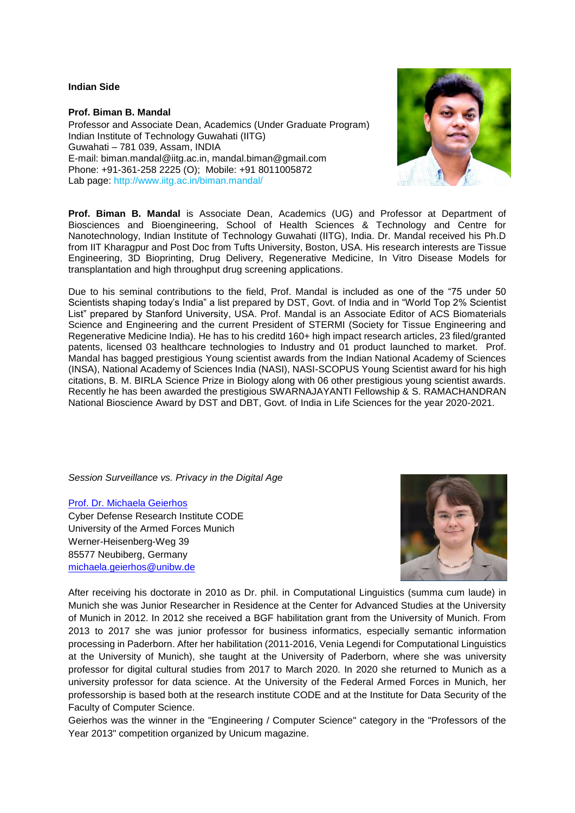**Indian Side**

**Prof. Biman B. Mandal**  Professor and Associate Dean, Academics (Under Graduate Program) Indian Institute of Technology Guwahati (IITG) Guwahati – 781 039, Assam, INDIA E-mail: biman.mandal@iitg.ac.in, mandal.biman@gmail.com Phone: +91-361-258 2225 (O); Mobile: +91 8011005872 Lab page: http://www.iitg.ac.in/biman.mandal/



**Prof. Biman B. Mandal** is Associate Dean, Academics (UG) and Professor at Department of Biosciences and Bioengineering, School of Health Sciences & Technology and Centre for Nanotechnology, Indian Institute of Technology Guwahati (IITG), India. Dr. Mandal received his Ph.D from IIT Kharagpur and Post Doc from Tufts University, Boston, USA. His research interests are Tissue Engineering, 3D Bioprinting, Drug Delivery, Regenerative Medicine, In Vitro Disease Models for transplantation and high throughput drug screening applications.

Due to his seminal contributions to the field, Prof. Mandal is included as one of the "75 under 50 Scientists shaping today's India" a list prepared by DST, Govt. of India and in "World Top 2% Scientist List" prepared by Stanford University, USA. Prof. Mandal is an Associate Editor of ACS Biomaterials Science and Engineering and the current President of STERMI (Society for Tissue Engineering and Regenerative Medicine India). He has to his creditd 160+ high impact research articles, 23 filed/granted patents, licensed 03 healthcare technologies to Industry and 01 product launched to market. Prof. Mandal has bagged prestigious Young scientist awards from the Indian National Academy of Sciences (INSA), National Academy of Sciences India (NASI), NASI-SCOPUS Young Scientist award for his high citations, B. M. BIRLA Science Prize in Biology along with 06 other prestigious young scientist awards. Recently he has been awarded the prestigious SWARNAJAYANTI Fellowship & S. RAMACHANDRAN National Bioscience Award by DST and DBT, Govt. of India in Life Sciences for the year 2020-2021.

*Session Surveillance vs. Privacy in the Digital Age*

[Prof. Dr. Michaela Geierhos](https://www.unibw.de/home-en/appointment-of-professors/prof-dr-michaela-geierhos) Cyber Defense Research Institute CODE University of the Armed Forces Munich Werner-Heisenberg-Weg 39 85577 Neubiberg, Germany [michaela.geierhos@unibw.de](mailto:michaela.geierhos@unibw.de)



After receiving his doctorate in 2010 as Dr. phil. in Computational Linguistics (summa cum laude) in Munich she was Junior Researcher in Residence at the Center for Advanced Studies at the University of Munich in 2012. In 2012 she received a BGF habilitation grant from the University of Munich. From 2013 to 2017 she was junior professor for business informatics, especially semantic information processing in Paderborn. After her habilitation (2011-2016, Venia Legendi for Computational Linguistics at the University of Munich), she taught at the University of Paderborn, where she was university professor for digital cultural studies from 2017 to March 2020. In 2020 she returned to Munich as a university professor for data science. At the University of the Federal Armed Forces in Munich, her professorship is based both at the research institute CODE and at the Institute for Data Security of the Faculty of Computer Science.

Geierhos was the winner in the "Engineering / Computer Science" category in the "Professors of the Year 2013" competition organized by Unicum magazine.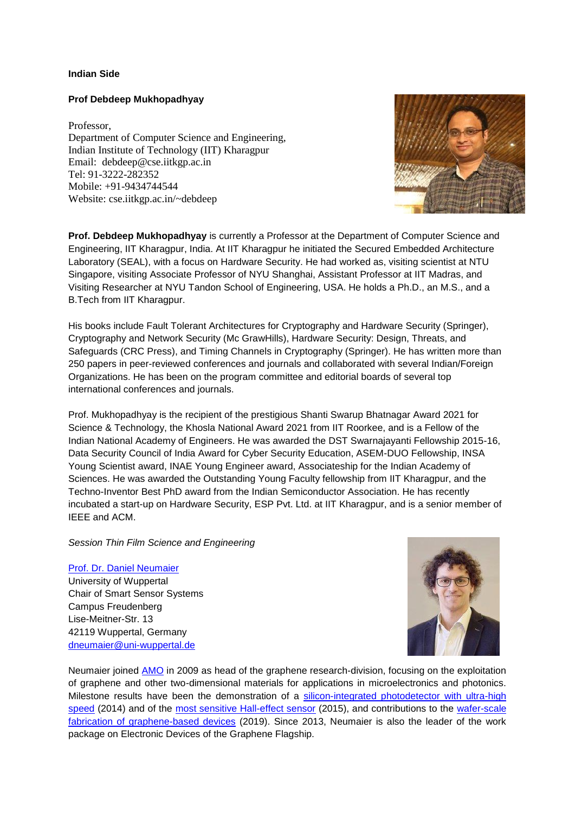### **Indian Side**

### **Prof Debdeep Mukhopadhyay**

Professor, Department of Computer Science and Engineering, Indian Institute of Technology (IIT) Kharagpur Email: debdeep@cse.iitkgp.ac.in Tel: 91-3222-282352 Mobile: +91-9434744544 Website: cse.iitkgp.ac.in/~debdeep



**Prof. Debdeep Mukhopadhyay** is currently a Professor at the Department of Computer Science and Engineering, IIT Kharagpur, India. At IIT Kharagpur he initiated the Secured Embedded Architecture Laboratory (SEAL), with a focus on Hardware Security. He had worked as, visiting scientist at NTU Singapore, visiting Associate Professor of NYU Shanghai, Assistant Professor at IIT Madras, and Visiting Researcher at NYU Tandon School of Engineering, USA. He holds a Ph.D., an M.S., and a B.Tech from IIT Kharagpur.

His books include Fault Tolerant Architectures for Cryptography and Hardware Security (Springer), Cryptography and Network Security (Mc GrawHills), Hardware Security: Design, Threats, and Safeguards (CRC Press), and Timing Channels in Cryptography (Springer). He has written more than 250 papers in peer-reviewed conferences and journals and collaborated with several Indian/Foreign Organizations. He has been on the program committee and editorial boards of several top international conferences and journals.

Prof. Mukhopadhyay is the recipient of the prestigious Shanti Swarup Bhatnagar Award 2021 for Science & Technology, the Khosla National Award 2021 from IIT Roorkee, and is a Fellow of the Indian National Academy of Engineers. He was awarded the DST Swarnajayanti Fellowship 2015-16, Data Security Council of India Award for Cyber Security Education, ASEM-DUO Fellowship, INSA Young Scientist award, INAE Young Engineer award, Associateship for the Indian Academy of Sciences. He was awarded the Outstanding Young Faculty fellowship from IIT Kharagpur, and the Techno-Inventor Best PhD award from the Indian Semiconductor Association. He has recently incubated a start-up on Hardware Security, ESP Pvt. Ltd. at IIT Kharagpur, and is a senior member of IEEE and ACM.

#### *Session Thin Film Science and Engineering*

#### [Prof. Dr. Daniel Neumaier](https://lpmss.uni-wuppertal.de/en/staff/prof-dr-daniel-neumaier.html)

University of Wuppertal Chair of Smart Sensor Systems Campus Freudenberg Lise-Meitner-Str. 13 42119 Wuppertal, Germany [dneumaier@uni-wuppertal.de](mailto:dneumaier@uni-wuppertal.de)



Neumaier joined **AMO** in 2009 as head of the graphene research-division, focusing on the exploitation of graphene and other two-dimensional materials for applications in microelectronics and photonics. Milestone results have been the demonstration of a [silicon-integrated photodetector with ultra-high](https://pubs.acs.org/doi/10.1021/ph5001605)  [speed](https://pubs.acs.org/doi/10.1021/ph5001605) (2014) and of the [most sensitive Hall-effect sensor](https://aip.scitation.org/doi/10.1063/1.4919897) (2015), and contributions to the [wafer-scale](https://www.nature.com/articles/s41563-019-0359-7)  [fabrication of graphene-based devices](https://www.nature.com/articles/s41563-019-0359-7) (2019). Since 2013, Neumaier is also the leader of the work package on Electronic Devices of the Graphene Flagship.